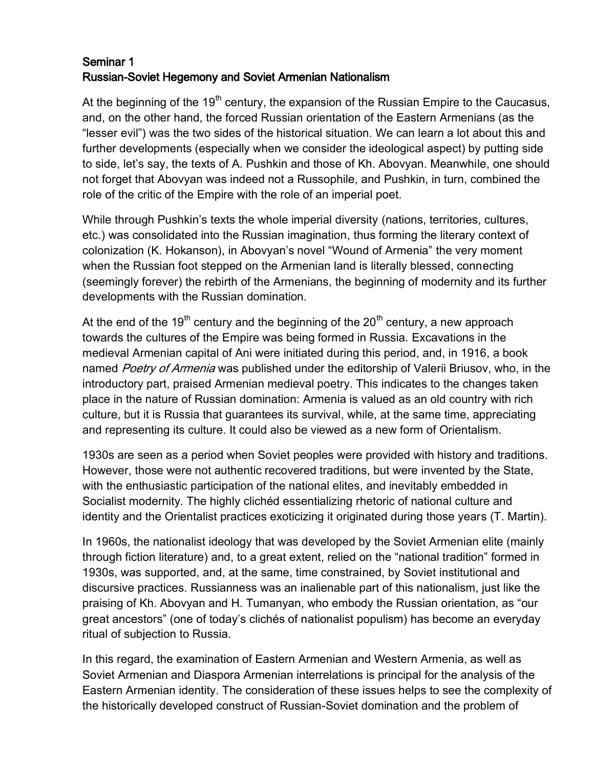## Seminar 1 Russian-Soviet Hegemony and Soviet Armenian Nationalism

At the beginning of the 19<sup>th</sup> century, the expansion of the Russian Empire to the Caucasus, and, on the other hand, the forced Russian orientation of the Eastern Armenians (as the "lesser evil") was the two sides of the historical situation. We can learn a lot about this and further developments (especially when we consider the ideological aspect) by putting side to side, let's say, the texts of A. Pushkin and those of Kh. Abovyan. Meanwhile, one should not forget that Abovyan was indeed not a Russophile, and Pushkin, in turn, combined the role of the critic of the Empire with the role of an imperial poet.

While through Pushkin's texts the whole imperial diversity (nations, territories, cultures, etc.) was consolidated into the Russian imagination, thus forming the literary context of colonization (K. Hokanson), in Abovyan's novel "Wound of Armenia" the very moment when the Russian foot stepped on the Armenian land is literally blessed, connecting (seemingly forever) the rebirth of the Armenians, the beginning of modernity and its further developments with the Russian domination.

At the end of the 19<sup>th</sup> century and the beginning of the 20<sup>th</sup> century, a new approach towards the cultures of the Empire was being formed in Russia. Excavations in the medieval Armenian capital of Ani were initiated during this period, and, in 1916, a book named Poetry of Armenia was published under the editorship of Valerii Briusov, who, in the introductory part, praised Armenian medieval poetry. This indicates to the changes taken place in the nature of Russian domination: Armenia is valued as an old country with rich culture, but it is Russia that guarantees its survival, while, at the same time, appreciating and representing its culture. It could also be viewed as a new form of Orientalism.

1930s are seen as a period when Soviet peoples were provided with history and traditions. However, those were not authentic recovered traditions, but were invented by the State, with the enthusiastic participation of the national elites, and inevitably embedded in Socialist modernity. The highly clichéd essentializing rhetoric of national culture and identity and the Orientalist practices exoticizing it originated during those years (T. Martin).

In 1960s, the nationalist ideology that was developed by the Soviet Armenian elite (mainly through fiction literature) and, to a great extent, relied on the "national tradition" formed in 1930s, was supported, and, at the same, time constrained, by Soviet institutional and discursive practices. Russianness was an inalienable part of this nationalism, just like the praising of Kh. Abovyan and H. Tumanyan, who embody the Russian orientation, as "our great ancestors" (one of today's clichés of nationalist populism) has become an everyday ritual of subjection to Russia.

In this regard, the examination of Eastern Armenian and Western Armenia, as well as Soviet Armenian and Diaspora Armenian interrelations is principal for the analysis of the Eastern Armenian identity. The consideration of these issues helps to see the complexity of the historically developed construct of Russian-Soviet domination and the problem of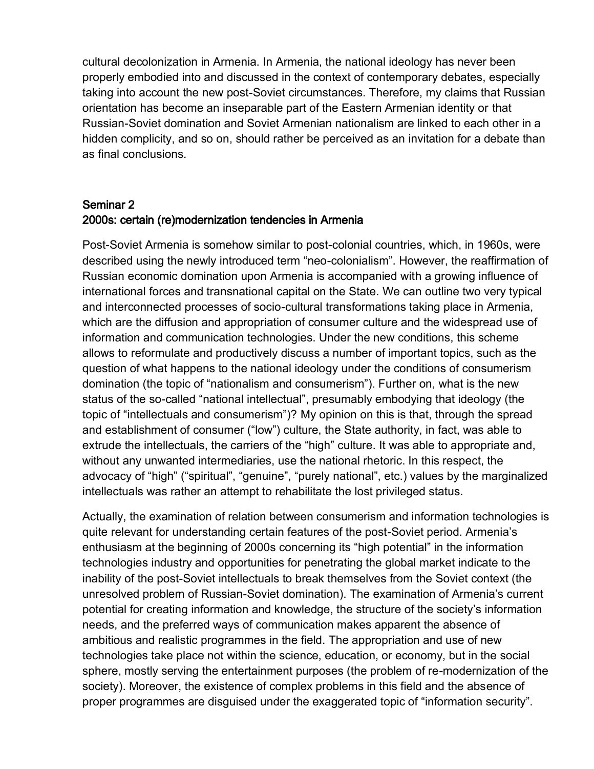cultural decolonization in Armenia. In Armenia, the national ideology has never been properly embodied into and discussed in the context of contemporary debates, especially taking into account the new post-Soviet circumstances. Therefore, my claims that Russian orientation has become an inseparable part of the Eastern Armenian identity or that Russian-Soviet domination and Soviet Armenian nationalism are linked to each other in a hidden complicity, and so on, should rather be perceived as an invitation for a debate than as final conclusions.

## Seminar 2 2000s: certain (re)modernization tendencies in Armenia

Post-Soviet Armenia is somehow similar to post-colonial countries, which, in 1960s, were described using the newly introduced term "neo-colonialism". However, the reaffirmation of Russian economic domination upon Armenia is accompanied with a growing influence of international forces and transnational capital on the State. We can outline two very typical and interconnected processes of socio-cultural transformations taking place in Armenia, which are the diffusion and appropriation of consumer culture and the widespread use of information and communication technologies. Under the new conditions, this scheme allows to reformulate and productively discuss a number of important topics, such as the question of what happens to the national ideology under the conditions of consumerism domination (the topic of "nationalism and consumerism"). Further on, what is the new status of the so-called "national intellectual", presumably embodying that ideology (the topic of "intellectuals and consumerism")? My opinion on this is that, through the spread and establishment of consumer ("low") culture, the State authority, in fact, was able to extrude the intellectuals, the carriers of the "high" culture. It was able to appropriate and, without any unwanted intermediaries, use the national rhetoric. In this respect, the advocacy of "high" ("spiritual", "genuine", "purely national", etc.) values by the marginalized intellectuals was rather an attempt to rehabilitate the lost privileged status.

Actually, the examination of relation between consumerism and information technologies is quite relevant for understanding certain features of the post-Soviet period. Armenia's enthusiasm at the beginning of 2000s concerning its "high potential" in the information technologies industry and opportunities for penetrating the global market indicate to the inability of the post-Soviet intellectuals to break themselves from the Soviet context (the unresolved problem of Russian-Soviet domination). The examination of Armenia's current potential for creating information and knowledge, the structure of the society's information needs, and the preferred ways of communication makes apparent the absence of ambitious and realistic programmes in the field. The appropriation and use of new technologies take place not within the science, education, or economy, but in the social sphere, mostly serving the entertainment purposes (the problem of re-modernization of the society). Moreover, the existence of complex problems in this field and the absence of proper programmes are disguised under the exaggerated topic of "information security".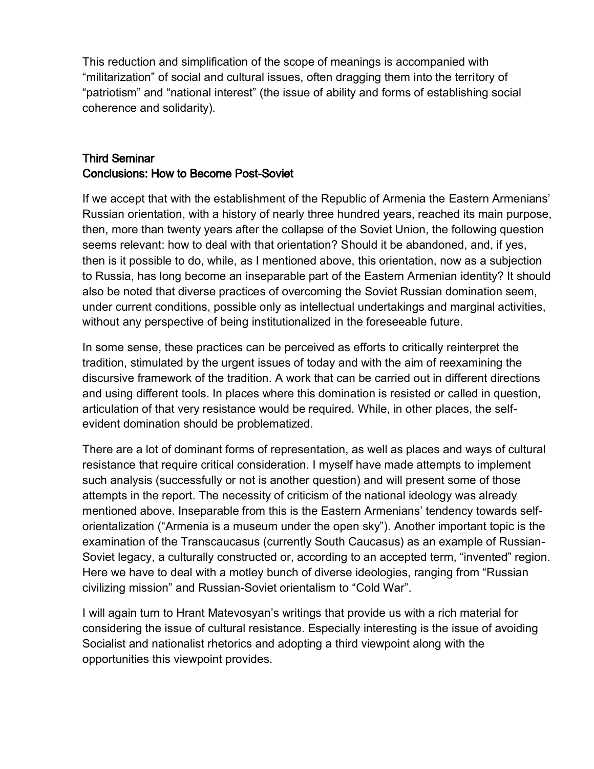This reduction and simplification of the scope of meanings is accompanied with "militarization" of social and cultural issues, often dragging them into the territory of "patriotism" and "national interest" (the issue of ability and forms of establishing social coherence and solidarity).

## Third Seminar Conclusions: How to Become Post-Soviet

If we accept that with the establishment of the Republic of Armenia the Eastern Armenians' Russian orientation, with a history of nearly three hundred years, reached its main purpose, then, more than twenty years after the collapse of the Soviet Union, the following question seems relevant: how to deal with that orientation? Should it be abandoned, and, if yes, then is it possible to do, while, as I mentioned above, this orientation, now as a subjection to Russia, has long become an inseparable part of the Eastern Armenian identity? It should also be noted that diverse practices of overcoming the Soviet Russian domination seem, under current conditions, possible only as intellectual undertakings and marginal activities, without any perspective of being institutionalized in the foreseeable future.

In some sense, these practices can be perceived as efforts to critically reinterpret the tradition, stimulated by the urgent issues of today and with the aim of reexamining the discursive framework of the tradition. A work that can be carried out in different directions and using different tools. In places where this domination is resisted or called in question, articulation of that very resistance would be required. While, in other places, the selfevident domination should be problematized.

There are a lot of dominant forms of representation, as well as places and ways of cultural resistance that require critical consideration. I myself have made attempts to implement such analysis (successfully or not is another question) and will present some of those attempts in the report. The necessity of criticism of the national ideology was already mentioned above. Inseparable from this is the Eastern Armenians' tendency towards selforientalization ("Armenia is a museum under the open sky"). Another important topic is the examination of the Transcaucasus (currently South Caucasus) as an example of Russian-Soviet legacy, a culturally constructed or, according to an accepted term, "invented" region. Here we have to deal with a motley bunch of diverse ideologies, ranging from "Russian civilizing mission" and Russian-Soviet orientalism to "Cold War".

I will again turn to Hrant Matevosyan's writings that provide us with a rich material for considering the issue of cultural resistance. Especially interesting is the issue of avoiding Socialist and nationalist rhetorics and adopting a third viewpoint along with the opportunities this viewpoint provides.